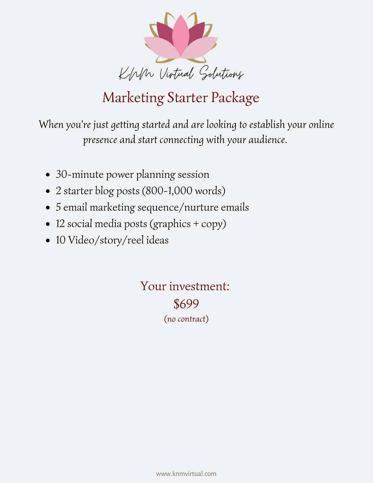

## Marketing Starter Package

*When you're just getting started and are looking to establish your online presence and start connecting with your audience.*

- 30-minute power planning session
- 2 starter blog posts (800-1,000 words)
- 5 email marketing sequence/nurture emails
- 12 social media posts (graphics + copy)
- 10 Video/story/reel ideas

Your investment: \$699 *(no contract)*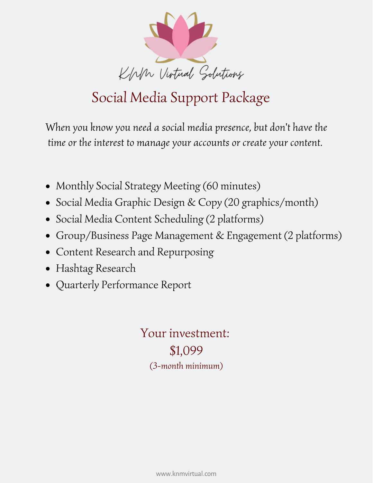

# Social Media Support Package

*When you know you need a social media presence, but don't have the time or the interest to manage your accounts or create your content.*

- Monthly Social Strategy Meeting (60 minutes)
- Social Media Graphic Design & Copy (20 graphics/month)
- Social Media Content Scheduling (2 platforms)
- Group/Business Page Management & Engagement (2 platforms)
- Content Research and Repurposing
- Hashtag Research
- Quarterly Performance Report

Your investment: \$1,099 *(3-month minimum)*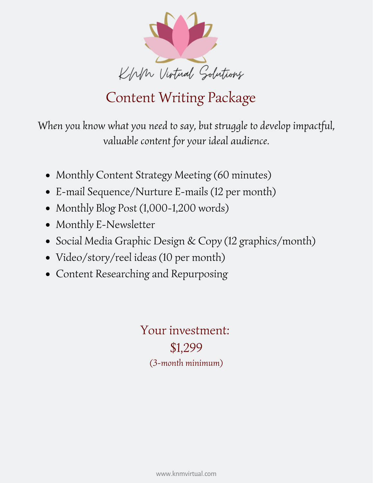

## Content Writing Package

*When you know what you need to say, but struggle to develop impactful, valuable content for your ideal audience.*

- Monthly Content Strategy Meeting (60 minutes)
- E-mail Sequence/Nurture E-mails (12 per month)
- Monthly Blog Post (1,000-1,200 words)
- Monthly E-Newsletter
- Social Media Graphic Design & Copy (12 graphics/month)
- Video/story/reel ideas (10 per month)
- Content Researching and Repurposing

Your investment: \$1,299 *(3-month minimum)*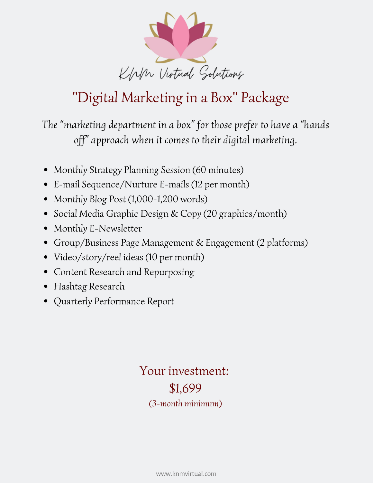

# "Digital Marketing in a Box" Package

*The "marketing department in a box" for those prefer to have a "hands off" approach when it comes to their digital marketing.*

- Monthly Strategy Planning Session (60 minutes)
- E-mail Sequence/Nurture E-mails (12 per month)
- Monthly Blog Post (1,000-1,200 words)
- Social Media Graphic Design & Copy (20 graphics/month)
- Monthly E-Newsletter
- Group/Business Page Management & Engagement (2 platforms)
- Video/story/reel ideas (10 per month)
- Content Research and Repurposing
- Hashtag Research
- Quarterly Performance Report

Your investment: \$1,699 *(3-month minimum)*